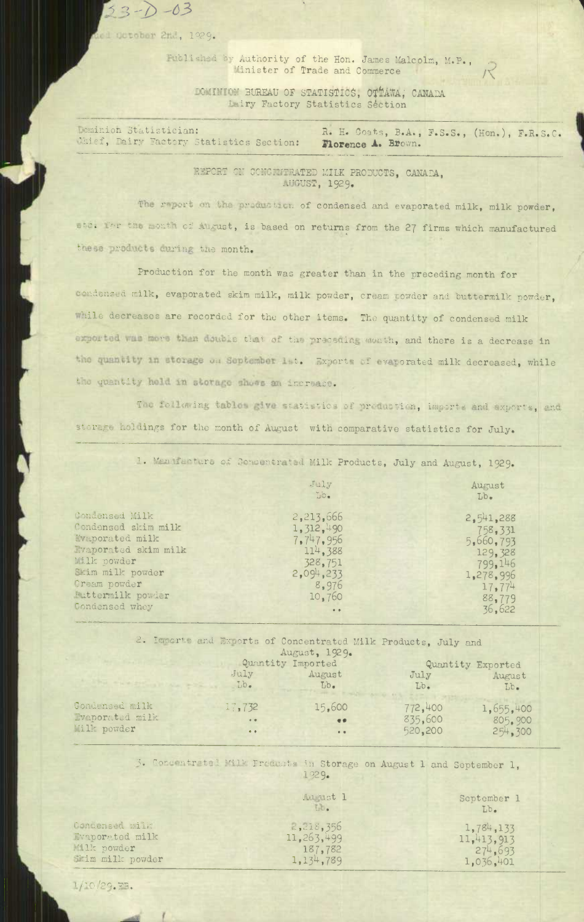el October 2nd, 1929.

 $33 - D - 03$ 

Fublished by Authority of the Hon. James Malcolm, M.P., Minister of Trade and Commerce

DOMINION BUREAU OF STATISTICS, OTTAWA, CANADA Eairy Factory Statistics Section

Cominion Statistician: Chief, Dairy Factory Statistics Section:

R. H. Coats, B.A., F.S.S., (Hon.), F.R.S.C. Florence A. Brown.

REPORT ON CONCRITEATED MILK PRODUCTS, CANADA, AUGUST, 1929.

The report on the preduction of condensed and evaporated milk, milk powder, ste. For the month of August, is based on returns from the 27 firms which manufactured these products during the month.

Production for the month was greater than in the preceding month for condensed milk, evaporated skim milk, milk powder, cream powder and buttermilk powder, while decreases are recorded for the other items. The quantity of condensed milk exported was more than double that of the preceding month, and there is a decrease in the quantity in storage on September 1st. Exports of everorated milk decreased, while the quantity held in storage shows an increase.

The following tables give statistics of production, imports and experts, and storage holdings for the month of August with comparative statistics for July.

1. Memberture of Concentrated Milk Products, July and August, 1929.

|                             | July<br>Lo. | August<br>$Lb$ . |
|-----------------------------|-------------|------------------|
| Condensed Milk              | 2,213,666   | 2,541,288        |
| Condensed skim milk         | 1, 312, 490 | 758,331          |
| Evaporated milk             | 7.747.956   | 5,660,793        |
| <b>Hvaporated</b> skim milk | 114,388     | 129.328          |
| Milk powder                 | 328,751     | 799, 146         |
| Skim milk powder            | 2,094,233   | 1,278,996        |
| Cream powder                | 8,976       | 17.774           |
| Futtermilk powder           | 10,760      | 88,779           |
| Condensed whey              | $\bullet$   | 36,622           |

2. Imports and Exports of Concentrated Milk Products, July and

|                 |           | August, 1929.       |         |                   |
|-----------------|-----------|---------------------|---------|-------------------|
|                 |           | Quantity Imported   |         | Quantity Exported |
|                 | July      | August              | July    | August            |
|                 | $Lb$ .    | $Lb$ .              | $Lb$ .  | $Lb -$            |
|                 |           |                     |         |                   |
| Condensed milk  | 17,732    | 15,600              | 772,400 | 1,655,400         |
| Evenorated milk | $\bullet$ | $\bullet\bullet$    | 835,600 | 805.900           |
| Milk powder     | $\bullet$ | $\bullet$ $\bullet$ | 520,200 | 254,300           |
|                 |           |                     |         |                   |

3. Concentrated Will Freducts in Storage on August 1 and September 1, 1.929.

|                  | Magust 1<br>T.C. | September 1<br>Lb. |
|------------------|------------------|--------------------|
| Condensed milk   | 2,218,356        | 1,784,133          |
| Evaporated milk  | 11,263,499       | 11,413,913         |
| Milk powder      | 187,782          | 274,693            |
| Sidm milk powder | 1,134,789        | 1,036,401          |

 $1/10/20.$  FB.